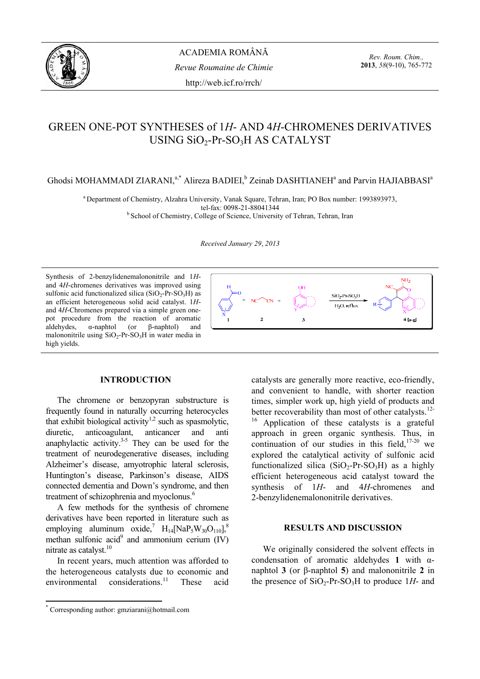

*Rev. Roum. Chim.,*  **2013**, *58*(9-10), 765-772

# GREEN ONE-POT SYNTHESES of 1*H*- AND 4*H*-CHROMENES DERIVATIVES USING SiO<sub>2</sub>-Pr-SO<sub>3</sub>H AS CATALYST

Ghodsi MOHAMMADI ZIARANI,<sup>a,\*</sup> Alireza BADIEI,<sup>b</sup> Zeinab DASHTIANEH<sup>a</sup> and Parvin HAJIABBASI<sup>a</sup>

a Department of Chemistry, Alzahra University, Vanak Square, Tehran, Iran; PO Box number: 1993893973,

tel-fax: 0098-21-88041344<br><sup>b</sup> School of Chemistry, College of Science, University of Tehran, Tehran, Iran

*Received January 29*, *2013* 

Synthesis of 2-benzylidenemalononitrile and 1*H*and 4*H*-chromenes derivatives was improved using sulfonic acid functionalized silica  $(SiO<sub>2</sub>-Pr-SO<sub>3</sub>H)$  as an efficient heterogeneous solid acid catalyst. 1*H*and 4*H*-Chromenes prepared via a simple green onepot procedure from the reaction of aromatic aldehydes, α-naphtol (or β-naphtol) and malononitrile using  $SiO_2$ -Pr-SO<sub>3</sub>H in water media in high yields.



**INTRODUCTION\***

The chromene or benzopyran substructure is frequently found in naturally occurring heterocycles that exhibit biological activity<sup>1,2</sup> such as spasmolytic, diuretic, anticoagulant, anticancer and anti anaphylactic activity. $3-5$  They can be used for the treatment of neurodegenerative diseases, including Alzheimer's disease, amyotrophic lateral sclerosis, Huntington's disease, Parkinson's disease, AIDS connected dementia and Down's syndrome, and then treatment of schizophrenia and myoclonus.<sup>6</sup>

A few methods for the synthesis of chromene derivatives have been reported in literature such as employing aluminum oxide,<sup>7</sup>  $H_{14}$ [NaP<sub>5</sub>W<sub>30</sub>O<sub>110</sub>],<sup>8</sup> methan sulfonic  $\text{acid}^9$  and ammonium cerium (IV) nitrate as catalyst.<sup>10</sup>

In recent years, much attention was afforded to the heterogeneous catalysts due to economic and environmental considerations.<sup>11</sup> These acid

 $\overline{a}$ 



catalysts are generally more reactive, eco-friendly, and convenient to handle, with shorter reaction times, simpler work up, high yield of products and better recoverability than most of other catalysts.<sup>12-</sup> 16 Application of these catalysts is a grateful approach in green organic synthesis. Thus, in continuation of our studies in this field, $17-20$  we explored the catalytical activity of sulfonic acid functionalized silica  $(SiO_2-Pr-SO_3H)$  as a highly efficient heterogeneous acid catalyst toward the synthesis of 1*H*- and 4*H*-chromenes and 2-benzylidenemalononitrile derivatives.

# **RESULTS AND DISCUSSION**

We originally considered the solvent effects in condensation of aromatic aldehydes **1** with αnaphtol **3** (or β-naphtol **5**) and malononitrile **2** in the presence of  $SiO_2$ -Pr-SO<sub>3</sub>H to produce 1*H*- and

<sup>\*</sup> Corresponding author: gmziarani@hotmail.com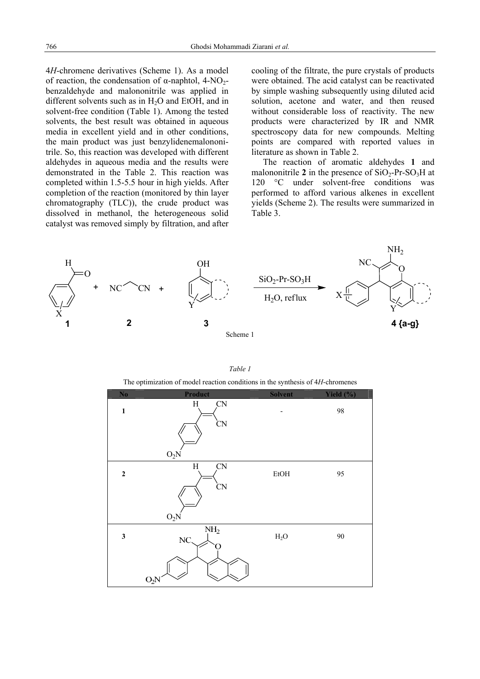4*H*-chromene derivatives (Scheme 1). As a model of reaction, the condensation of α-naphtol,  $4-NO_2$ benzaldehyde and malononitrile was applied in different solvents such as in H2O and EtOH, and in solvent-free condition (Table 1). Among the tested solvents, the best result was obtained in aqueous media in excellent yield and in other conditions, the main product was just benzylidenemalononitrile. So, this reaction was developed with different aldehydes in aqueous media and the results were demonstrated in the Table 2. This reaction was completed within 1.5-5.5 hour in high yields. After completion of the reaction (monitored by thin layer chromatography (TLC)), the crude product was dissolved in methanol, the heterogeneous solid catalyst was removed simply by filtration, and after

cooling of the filtrate, the pure crystals of products were obtained. The acid catalyst can be reactivated by simple washing subsequently using diluted acid solution, acetone and water, and then reused without considerable loss of reactivity. The new products were characterized by IR and NMR spectroscopy data for new compounds. Melting points are compared with reported values in literature as shown in Table 2.

The reaction of aromatic aldehydes **1** and malononitrile 2 in the presence of  $SiO<sub>2</sub>-Pr-SO<sub>3</sub>H$  at 120 °C under solvent-free conditions was performed to afford various alkenes in excellent yields (Scheme 2). The results were summarized in Table 3.



The optimization of model reaction conditions in the synthesis of 4*H*-chromenes

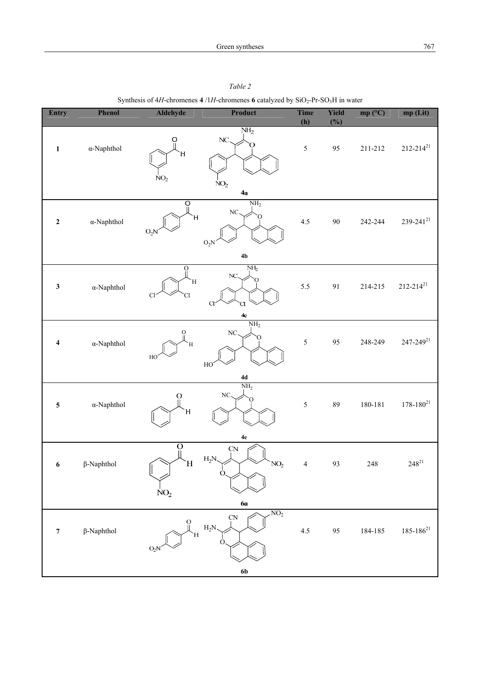| Entry            | Phenol             | Aldehyde                                        | Product                                                         | Time           | Yield | mp (°C)     | mp (Lit)         |
|------------------|--------------------|-------------------------------------------------|-----------------------------------------------------------------|----------------|-------|-------------|------------------|
|                  |                    |                                                 |                                                                 | (h)            | (%)   |             |                  |
| $\mathbf{1}$     | $\alpha$ -Naphthol | $\frac{0}{\pi}$<br>H,<br>NO <sub>2</sub>        | NH <sub>2</sub><br>NC<br>NO <sub>2</sub><br>4a                  | $\sqrt{5}$     | 95    | $211 - 212$ | $212 - 214^{21}$ |
| $\mathbf 2$      | $\alpha$ -Naphthol | $\frac{0}{\mathbb{I}}$<br>$\mathbf H$<br>$O_2N$ | NH <sub>2</sub><br>NC.<br>$O_2N$<br>4 <sub>b</sub>              | 4.5            | 90    | 242-244     | $239 - 241^{21}$ |
|                  |                    | $\overline{O}$                                  | NH <sub>2</sub>                                                 |                |       |             |                  |
| $\mathbf{3}$     | $\alpha$ -Naphthol | H,<br>Cl<br>Cl                                  | NC.<br>O<br>$\mathsf{C}$<br>CI<br>$4c$                          | 5.5            | 91    | 214-215     | $212 - 214^{21}$ |
|                  |                    |                                                 | NH <sub>2</sub>                                                 |                |       |             |                  |
| $\boldsymbol{4}$ | $\alpha$ -Naphthol | $\frac{0}{\parallel}$<br>Η<br>HO                | NC<br>HO                                                        | $\sqrt{5}$     | 95    | 248-249     | $247 - 249^{21}$ |
|                  |                    |                                                 | $4\mathrm{d}$                                                   |                |       |             |                  |
| $\sqrt{5}$       | $\alpha$ -Naphthol | $\Omega_{\parallel}$<br>Ή                       | $\mathrm{NH}_2$<br>$\rm NC$<br>C                                | $\sqrt{5}$     | 89    | 180-181     | $178 - 180^{21}$ |
|                  |                    |                                                 | $4\mathrm{e}$                                                   |                |       |             |                  |
| $\boldsymbol{6}$ | $\beta$ -Naphthol  | $\Omega_{\rm II}$<br>H<br>NO <sub>2</sub>       | ÇΝ<br>$H_2N$<br>NO <sub>2</sub><br>O.                           | $\overline{4}$ | 93    | 248         | $248^{21}$       |
|                  |                    |                                                 | 6a                                                              |                |       |             |                  |
| $\boldsymbol{7}$ | $\beta$ -Naphthol  | Н<br>$O_2N$                                     | NO <sub>2</sub><br>$\overline{\text{CN}}$<br>$H_2N$<br>$\Omega$ | 4.5            | 95    | 184-185     | $185 - 186^{21}$ |
|                  |                    |                                                 | 6 <sub>b</sub>                                                  |                |       |             |                  |

*Table 2*  Synthesis of  $4H$ -chromenes  $4/1H$ -chromenes **6** catalyzed by  $SiO_2$ -Pr-SO<sub>3</sub>H in water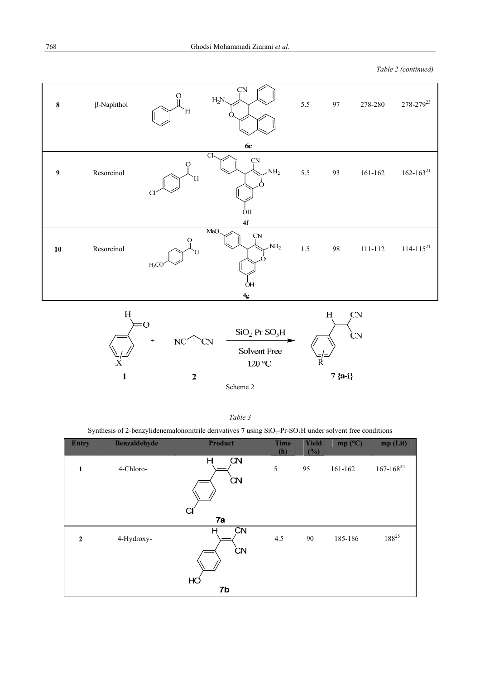*Table 2 (continued)* 



Scheme 2

 $\overline{2}$ 

 $\mathbf{1}$ 

 $7 {a-i}$ 

| ani<br>٢<br>$\mathbf{I}$ |  |
|--------------------------|--|
|--------------------------|--|

Synthesis of 2-benzylidenemalononitrile derivatives 7 using SiO<sub>2</sub>-Pr-SO<sub>3</sub>H under solvent free conditions

| <b>Entry</b>   | <b>Benzaldehyde</b> | <b>Product</b>                    | <b>Time</b><br>(h) | <b>Yield</b><br>(%) | mp $(^{\circ}C)$ | mp(Lit)          |
|----------------|---------------------|-----------------------------------|--------------------|---------------------|------------------|------------------|
| 1              | 4-Chloro-           | <b>CN</b><br>н<br><b>CN</b><br>СI | 5                  | 95                  | 161-162          | $167 - 168^{24}$ |
|                |                     | 7a                                |                    |                     |                  |                  |
| $\overline{2}$ | 4-Hydroxy-          | CN<br>н<br><b>CN</b>              | 4.5                | 90                  | 185-186          | $188^{25}$       |
|                |                     |                                   |                    |                     |                  |                  |
|                |                     | HÓ<br>7b                          |                    |                     |                  |                  |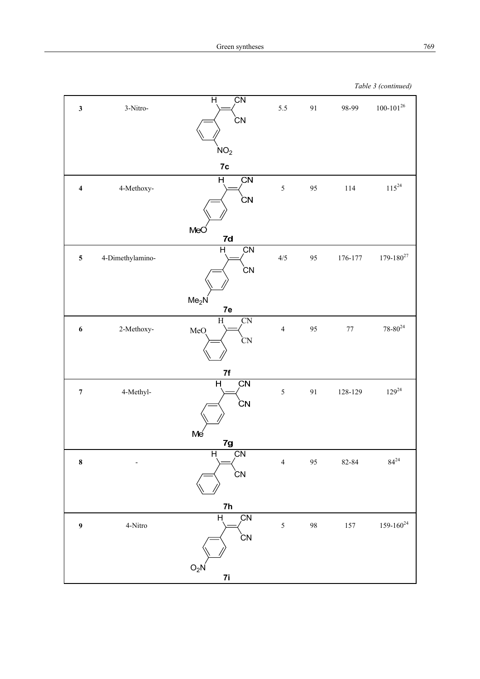*Table 3 (continued)*

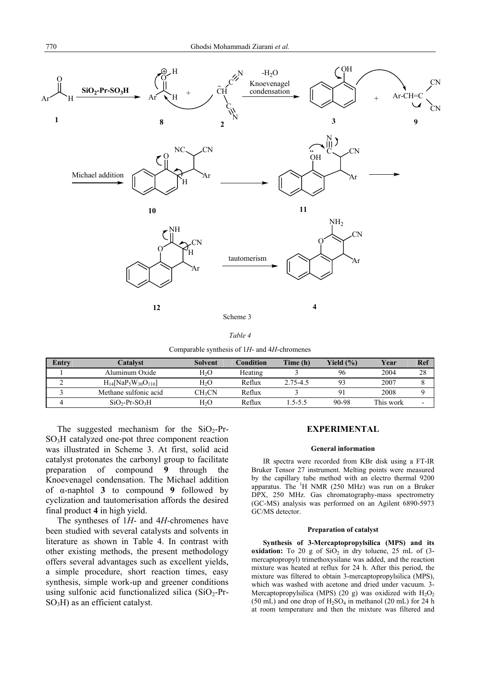

Comparable synthesis of 1*H*- and 4*H*-chromenes

| Entry | Catalyst                                                      | <b>Solvent</b>   | <b>Condition</b> | Time (h) | Yield $(\% )$ | Year      | Ref |
|-------|---------------------------------------------------------------|------------------|------------------|----------|---------------|-----------|-----|
|       | Aluminum Oxide                                                | H <sub>2</sub> O | Heating          |          | 96            | 2004      | 28  |
|       | $H_{14}$ [NaP <sub>5</sub> W <sub>30</sub> O <sub>110</sub> ] | H <sub>2</sub> O | Reflux           | 2.75-4.5 |               | 2007      |     |
|       | Methane sulfonic acid                                         | <b>CH2CN</b>     | Reflux           |          |               | 2008      |     |
|       | $SiO2-Pr-SO3H$                                                | H,O              | Reflux           | 5-5.5    | 90-98         | This work |     |

The suggested mechanism for the  $SiO_2$ -Pr-SO3H catalyzed one-pot three component reaction was illustrated in Scheme 3. At first, solid acid catalyst protonates the carbonyl group to facilitate preparation of compound **9** through the Knoevenagel condensation. The Michael addition of α-naphtol **3** to compound **9** followed by cyclization and tautomerisation affords the desired final product **4** in high yield.

The syntheses of 1*H*- and 4*H*-chromenes have been studied with several catalysts and solvents in literature as shown in Table 4. In contrast with other existing methods, the present methodology offers several advantages such as excellent yields, a simple procedure, short reaction times, easy synthesis, simple work-up and greener conditions using sulfonic acid functionalized silica  $(SiO<sub>2</sub>-Pr-$ SO3H) as an efficient catalyst.

# **EXPERIMENTAL**

# **General information**

IR spectra were recorded from KBr disk using a FT-IR Bruker Tensor 27 instrument. Melting points were measured by the capillary tube method with an electro thermal 9200 apparatus. The <sup>1</sup>H NMR (250 MHz) was run on a Bruker DPX, 250 MHz. Gas chromatography-mass spectrometry (GC-MS) analysis was performed on an Agilent 6890-5973 GC/MS detector.

#### **Preparation of catalyst**

**Synthesis of 3-Mercaptopropylsilica (MPS) and its oxidation:** To 20 g of  $SiO<sub>2</sub>$  in dry toluene, 25 mL of (3mercaptopropyl) trimethoxysilane was added, and the reaction mixture was heated at reflux for 24 h. After this period, the mixture was filtered to obtain 3-mercaptopropylsilica (MPS), which was washed with acetone and dried under vacuum. 3- Mercaptopropylsilica (MPS) (20 g) was oxidized with  $H_2O_2$ (50 mL) and one drop of  $H_2SO_4$  in methanol (20 mL) for 24 h at room temperature and then the mixture was filtered and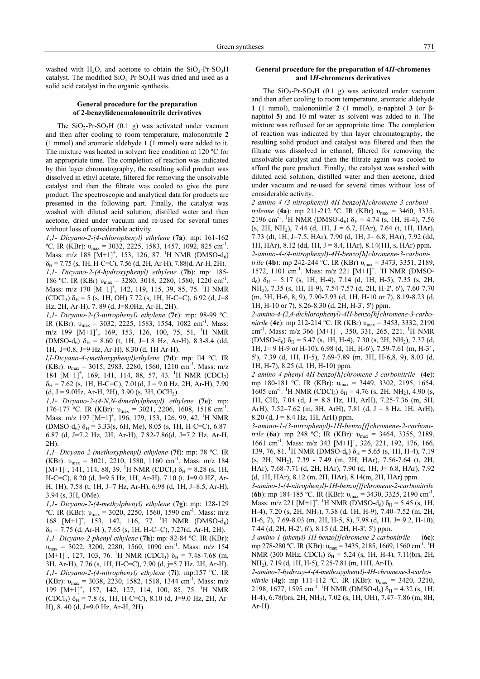washed with H<sub>2</sub>O, and acetone to obtain the  $SiO<sub>2</sub>$ -Pr-SO<sub>3</sub>H catalyst. The modified  $SiO<sub>2</sub>-Pr-SO<sub>3</sub>H$  was dried and used as a solid acid catalyst in the organic synthesis.

# **General procedure for the preparation of 2-benzylidenemalononitrile derivatives**

The  $SiO_2$ -Pr-SO<sub>3</sub>H (0.1 g) was activated under vacuum and then after cooling to room temperature, malononitrile **2**  (1 mmol) and aromatic aldehyde **1** (1 mmol) were added to it. The mixture was heated in solvent free condition at 120 ºC for an appropriate time. The completion of reaction was indicated by thin layer chromatography, the resulting solid product was dissolved in ethyl acetate, filtered for removing the unsolvable catalyst and then the filtrate was cooled to give the pure product. The spectroscopic and analytical data for products are presented in the following part. Finally, the catalyst was washed with diluted acid solution, distilled water and then acetone, dried under vacuum and re-used for several times without loss of considerable activity.

*1*,*1- Dicyano-2-(4-chlorophenyl) ethylene* (**7a**): mp: 161-162 °C. IR (KBr):  $v_{\text{max}} = 3032, 2225, 1583, 1457, 1092, 825 \text{ cm}^{-1}$ . Mass: m/z 188  $[M+1]^+$ , 153, 126, 87. <sup>1</sup>H NMR (DMSO-d<sub>6</sub>)  $\delta_H$  = 7.75 (s, 1H, H-C=C), 7.56 (d, 2H, Ar-H), 7.88(d, Ar-H, 2H). *1*,*1- Dicyano-2-(4-hydroxyphenyl) ethylene* (**7b**): mp: 185- 186 °C. IR (KBr)  $v_{max} = 3280, 3018, 2280, 1580, 1220$  cm<sup>-1</sup>. Mass: m/z 170  $[M+1]^+$ , 142, 119, 115, 39, 85, 75. <sup>1</sup>H NMR  $(CDCl_3)$   $\delta_H$  = 5 (s, 1H, OH) 7.72 (s, 1H, H-C=C), 6.92 (d, J=8 Hz, 2H, Ar-H), 7. 89 (d, J=8.0Hz, Ar-H, 2H).

*1*,*1- Dicyano-2-(3-nitrophenyl) ethylene* (**7c**): mp: 98-99 ºC. IR (KBr):  $v_{\text{max}} = 3032, 2225, 1583, 1554, 1082 \text{ cm}^{-1}$ . Mass: m/z 199  $[M+1]^+$ , 169, 153, 126, 100, 75, 51. <sup>1</sup>H NMR  $(DMSO-d_6)$   $\delta_H = 8.60$  (t, 1H, J=1.8 Hz, Ar-H), 8.3-8.4 (dd, 1H, J=0.8, J=9 Hz, Ar-H), 8.30 (d, 1H Ar-H).

*l*,*l-Dicyano-4-(methoxyphenyl)ethylene* (**7d**): mp: ll4 ºC. IR (KBr):  $v_{\text{max}} = 3015, 2983, 2280, 1560, 1210 \text{ cm}^{-1}$ . Mass: m/z 184  $[M+1]^+$ , 169, 141, 114, 88, 57, 43. <sup>1</sup>H NMR (CDCl<sub>3</sub>)  $\delta_H$  = 7.62 (s, 1H, H-C=C), 7.01(d, J = 9.0 Hz, 2H, Ar-H), 7.90  $(d, J = 9.0 Hz, Ar-H, 2H), 3.90 (s, 3H, OCH<sub>3</sub>).$ 

*1*,*1- Dicyano-2-(4-N*,*N-dimethylphenyl) ethylene* (**7e**): mp: 176-177 °C. IR (KBr):  $v_{\text{max}} = 3021, 2206, 1608, 1518 \text{ cm}^{-1}$ . Mass: m/z 197  $[M+1]^+$ , 196, 179, 153, 126, 99, 42. <sup>1</sup>H NMR  $(DMSO-d_6)$   $\delta_H$  = 3.33(s, 6H, Me), 8.05 (s, 1H, H-C=C), 6.87-6.87 (d, J=7.2 Hz, 2H, Ar-H), 7.82-7.86(d, J=7.2 Hz, Ar-H, 2H).

*1*,*1- Dicyano-2-(methoxyphenyl) ethylene* (**7f**): mp: 78 ºC. IR (KBr):  $v_{\text{max}} = 3021, 2210, 1580, 1160 \text{ cm}^{-1}$ . Mass: m/z 184  $[M+1]^+$ , 141, 114, 88, 39. <sup>1</sup>H NMR (CDCl<sub>3</sub>)  $\delta_H$  = 8.28 (s, 1H, H-C=C), 8.20 (d, J=9.5 Hz, 1H, Ar-H), 7.10 (t, J=9.0 HZ, Ar-H, 1H), 7.58 (t, 1H, J=7 Hz, Ar-H), 6.98 (d, 1H, J=8.5, Ar-H), 3.94 (s, 3H, OMe).

*1*,*1- Dicyano-2-(4-methylphenyl) ethylene* (**7g**): mp: 128-129 <sup>o</sup>C. IR (KBr):  $v_{\text{max}}$  = 3020, 2250, 1560, 1590 cm<sup>-1</sup>. Mass: m/z  $168$  [M+1]<sup>+</sup>, 153, 142, 116, 77. <sup>1</sup>H NMR (DMSO-d<sub>6</sub>)  $\delta_H$  = 7.75 (d, Ar-H), 7.65 (s, 1H, H-C=C), 7.27(d, Ar-H, 2H). *1*,*1- Dicyano-2-phenyl ethylene* (**7h**): mp: 82-84 ºC. IR (KBr):  $v_{\text{max}} = 3022, 3200, 2280, 1560, 1090$  cm<sup>-1</sup>. Mass: m/z 154  $[M+1]^{\dagger}$ , 127, 103, 76. <sup>1</sup>H NMR (CDCl<sub>3</sub>)  $\delta_{\text{H}}$  = 7.48-7.68 (m, 3H, Ar-H), 7.76 (s, 1H, H-C=C), 7.90 (d, j=5.7 Hz, 2H, Ar-H). *1*,*1- Dicyano-2-(4-nitrophenyl) ethylene* (**7i**): mp:157 ºC. IR (KBr):  $v_{\text{max}}$  = 3038, 2230, 1582, 1518, 1344 cm<sup>-1</sup>. Mass: m/z 199 [M+1]+ , 157, 142, 127, 114, 100, 85, 75. <sup>1</sup> H NMR  $(CDCl_3)$   $\delta_H$  = 7.8 (s, 1H, H-C=C), 8.10 (d, J=9.0 Hz, 2H, Ar-H), 8. 40 (d, J=9.0 Hz, Ar-H, 2H).

### **General procedure for the preparation of 4***H***-chromenes and 1***H***-chromenes derivatives**

The  $SiO_2$ -Pr-SO<sub>3</sub>H (0.1 g) was activated under vacuum and then after cooling to room temperature, aromatic aldehyde **1** (1 mmol), malononitrile **2** (1 mmol), α-naphtol **3** (or βnaphtol **5**) and 10 ml water as solvent was added to it. The mixture was refluxed for an appropriate time. The completion of reaction was indicated by thin layer chromatography, the resulting solid product and catalyst was filtered and then the filtrate was dissolved in ethanol, filtered for removing the unsolvable catalyst and then the filtrate again was cooled to afford the pure product. Finally, the catalyst was washed with diluted acid solution, distilled water and then acetone, dried under vacuum and re-used for several times without loss of considerable activity.

*2-amino-4-(3-nitrophenyl)-4H-benzo[h]chromene-3-carbonitrileone* (**4a**): mp 211-212 ºC. IR (KBr) υmax = 3460, 3335, 2196 cm<sup>-1</sup>. <sup>1</sup>H NMR (DMSO-d<sub>6</sub>)  $\delta_H$  = 4.74 (s, 1H, H-4), 7.56  $(s, 2H, NH<sub>2</sub>)$ , 7.44 (d, 1H, J = 6.7, HAr), 7.64 (t, 1H, HAr), 7.73 (dt, 1H, J=7.5, HAr), 7.90 (d, 1H, J= 6.8, HAr), 7.92 (dd, 1H, HAr), 8.12 (dd, 1H, J = 8.4, HAr), 8.14(1H, s, HAr) ppm. *2-amino-4-(4-nitrophenyl)-4H-benzo[h]chromene-3-carbonitrile* (**4b**): mp 242-244 ºC. IR (KBr) υmax = 3473, 3351, 2189, 1572, 1101 cm<sup>-1</sup>. Mass: m/z 221 [M+1]<sup>+ 1</sup>H NMR (DMSO $d_6$ )  $\delta_H$  = 5.17 (s, 1H, H-4), 7.14 (d, 1H, H-5), 7.35 (s, 2H, NH2), 7.35 (s, 1H, H-9), 7.54-7.57 (d, 2H, H-2', 6'), 7.60-7.70 (m, 3H, H-6, 8, 9), 7.90-7.93 (d, 1H, H-10 or 7), 8.19-8.23 (d, 1H, H-10 or 7), 8.26-8.30 (d, 2H, H-3', 5') ppm.

*2-amino-4-(2*,*4-dichlorophenyl)-4H-benzo[h]chromene-3-carbonitrile* (**4c**): mp 212-214 ºC. IR (KBr) υmax = 3453, 3332, 2190 cm<sup>-1</sup>. Mass: m/z 366  $[M+1]^+$ , 350, 331, 265, 221. <sup>1</sup>H NMR  $(DMSO-d<sub>6</sub>) \delta<sub>H</sub> = 5.47$  (s, 1H, H-4), 7.30 (s, 2H, NH<sub>2</sub>), 7.37 (d, 1H, J= 9 H-9 or H-10), 6.98 (d, 1H, H-6'), 7.59-7.61 (m, H-3' , 5'), 7.39 (d, 1H, H-5), 7.69-7.89 (m, 3H, H-6,8, 9), 8.03 (d, 1H, H-7), 8.25 (d, 1H, H-10) ppm.

*2-amino-4-phenyl-4H-benzo[h]chromene-3-carbonitrile* (**4e**): mp 180-181 °C. IR (KBr): υ<sub>max</sub> = 3449, 3302, 2195, 1654,  $1605$  cm<sup>-1</sup>. <sup>1</sup>H NMR (CDCl<sub>3</sub>) δ<sub>H</sub> = 4.76 (s, 2H, NH<sub>2</sub>), 4.90 (s, 1H, CH), 7.04 (d, J = 8.8 Hz, 1H, ArH), 7.25-7.36 (m, 5H, ArH), 7.52–7.62 (m, 3H, ArH), 7.81 (d, J = 8 Hz, 1H, ArH), 8.20 (d,  $J = 8.4$  Hz, 1H, ArH) ppm.

*3-amino-1-(3-nitrophenyl)-1H-benzo[f]chromene-2-carbonitrile* (**6a**): mp 248 ºC; IR (KBr): υmax = 3464, 3355, 2189, 1661 cm<sup>-1</sup>. Mass: m/z 343 [M+1]<sup>+</sup>, 326, 221, 192, 176, 166, 139, 76, 81. <sup>1</sup>H NMR (DMSO-d<sub>6</sub>)  $\delta_H$  = 5.65 (s, 1H, H-4), 7.19 (s, 2H, NH2), 7.39 - 7.49 (m, 2H, HAr), 7.56-7.64 (t, 2H, HAr), 7.68-7.71 (d, 2H, HAr), 7.90 (d, 1H, J= 6.8, HAr), 7.92 (d, 1H, HAr), 8.12 (m, 2H, HAr), 8.14(m, 2H, HAr) ppm.

*3-amino-1-(4-nitrophenyl)-1H-benzo[f]chromene-2-carbonitrile*  (**6b**): mp 184-185 °C. IR (KBr):  $v_{\text{max}} = 3430, 3325, 2190 \text{ cm}^{-1}$ . Mass: m/z 221  $[M+1]$ <sup>+</sup>. <sup>1</sup>H NMR (DMSO-d<sub>6</sub>)  $\delta_H$  = 5.45 (s, 1H, H-4), 7.20 (s, 2H, NH<sub>2</sub>), 7.38 (d, 1H, H-9), 7.40–7.52 (m, 2H, H-6, 7), 7.69-8.03 (m, 2H, H-5, 8), 7.98 (d, 1H, J= 9.2, H-10), 7.44 (d, 2H, H-2', 6'), 8.15 (d, 2H, H-3', 5') ppm.

*3-amino-1-(phenyl)-1H-benzo[f]chromene-2-carbonitrile* (**6c**): mp 278-280 °C. IR (KBr):  $v_{\text{max}} = 3435, 2185, 1669, 1560 \text{ cm}^{-1}$ . <sup>1</sup>H NMR (300 MHz, CDCl<sub>3</sub>)  $\delta_H = 5.24$  (s, 1H, H-4), 7.11(brs, 2H, NH2), 7.19 (d, 1H, H-5), 7.25-7.81 (m, 11H, Ar-H).

*2-amino-7-hydroxy-4-(4-methoxyphenyl)-4H-chromene-3-carbonitrile* (**4g**): mp 111-112 ºC. IR (KBr): υmax = 3420, 3210, 2198, 1677, 1595 cm<sup>-1</sup>. <sup>1</sup>H NMR (DMSO-d<sub>6</sub>)  $\delta_H$  = 4.32 (s, 1H, H-4), 6.78(brs, 2H, NH<sub>2</sub>), 7.02 (s, 1H, OH), 7.47–7.86 (m, 8H, Ar-H).